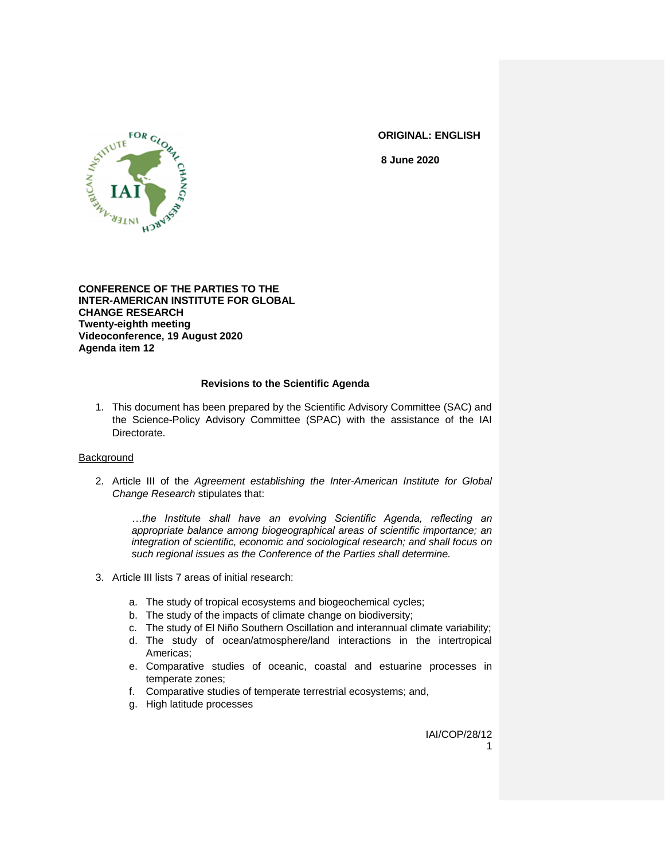

**ORIGINAL: ENGLISH**

**8 June 2020**

**CONFERENCE OF THE PARTIES TO THE INTER-AMERICAN INSTITUTE FOR GLOBAL CHANGE RESEARCH Twenty-eighth meeting Videoconference, 19 August 2020 Agenda item 12**

#### **Revisions to the Scientific Agenda**

1. This document has been prepared by the Scientific Advisory Committee (SAC) and the Science-Policy Advisory Committee (SPAC) with the assistance of the IAI Directorate.

#### Background

2. Article III of the *Agreement establishing the Inter-American Institute for Global Change Research* stipulates that:

*…the Institute shall have an evolving Scientific Agenda, reflecting an appropriate balance among biogeographical areas of scientific importance; an integration of scientific, economic and sociological research; and shall focus on such regional issues as the Conference of the Parties shall determine.*

- 3. Article III lists 7 areas of initial research:
	- a. The study of tropical ecosystems and biogeochemical cycles;
	- b. The study of the impacts of climate change on biodiversity;
	- c. The study of El Niño Southern Oscillation and interannual climate variability;
	- d. The study of ocean/atmosphere/land interactions in the intertropical Americas;
	- e. Comparative studies of oceanic, coastal and estuarine processes in temperate zones;
	- f. Comparative studies of temperate terrestrial ecosystems; and,
	- g. High latitude processes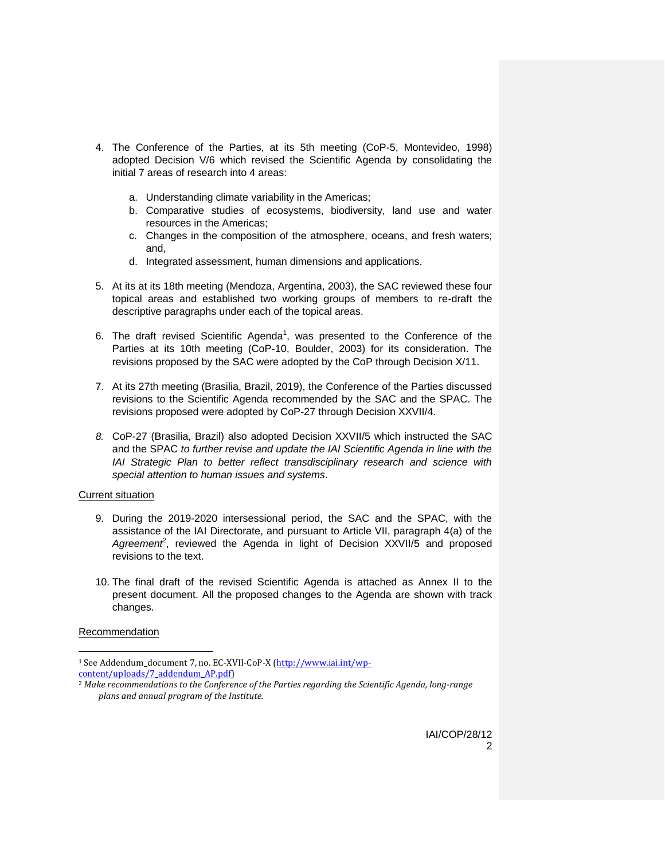- 4. The Conference of the Parties, at its 5th meeting (CoP-5, Montevideo, 1998) adopted Decision V/6 which revised the Scientific Agenda by consolidating the initial 7 areas of research into 4 areas:
	- a. Understanding climate variability in the Americas;
	- b. Comparative studies of ecosystems, biodiversity, land use and water resources in the Americas;
	- c. Changes in the composition of the atmosphere, oceans, and fresh waters; and,
	- d. Integrated assessment, human dimensions and applications.
- 5. At its at its 18th meeting (Mendoza, Argentina, 2003), the SAC reviewed these four topical areas and established two working groups of members to re-draft the descriptive paragraphs under each of the topical areas.
- 6. The draft revised Scientific Agenda<sup>1</sup>, was presented to the Conference of the Parties at its 10th meeting (CoP-10, Boulder, 2003) for its consideration. The revisions proposed by the SAC were adopted by the CoP through Decision X/11.
- 7. At its 27th meeting (Brasilia, Brazil, 2019), the Conference of the Parties discussed revisions to the Scientific Agenda recommended by the SAC and the SPAC. The revisions proposed were adopted by CoP-27 through Decision XXVII/4.
- *8.* CoP-27 (Brasilia, Brazil) also adopted Decision XXVII/5 which instructed the SAC and the SPAC *to further revise and update the IAI Scientific Agenda in line with the IAI Strategic Plan to better reflect transdisciplinary research and science with special attention to human issues and systems*.

#### Current situation

- 9. During the 2019-2020 intersessional period, the SAC and the SPAC, with the assistance of the IAI Directorate, and pursuant to Article VII, paragraph 4(a) of the Agreement<sup>2</sup>, reviewed the Agenda in light of Decision XXVII/5 and proposed revisions to the text.
- 10. The final draft of the revised Scientific Agenda is attached as Annex II to the present document. All the proposed changes to the Agenda are shown with track changes.

#### **Recommendation**

l

<sup>1</sup> See Addendum\_document 7, no. EC-XVII-CoP-X [\(http://www.iai.int/wp](http://www.iai.int/wp-content/uploads/7_addendum_AP.pdf)[content/uploads/7\\_addendum\\_AP.pdf\)](http://www.iai.int/wp-content/uploads/7_addendum_AP.pdf)

<sup>2</sup> *Make recommendations to the Conference of the Parties regarding the Scientific Agenda, long-range plans and annual program of the Institute.*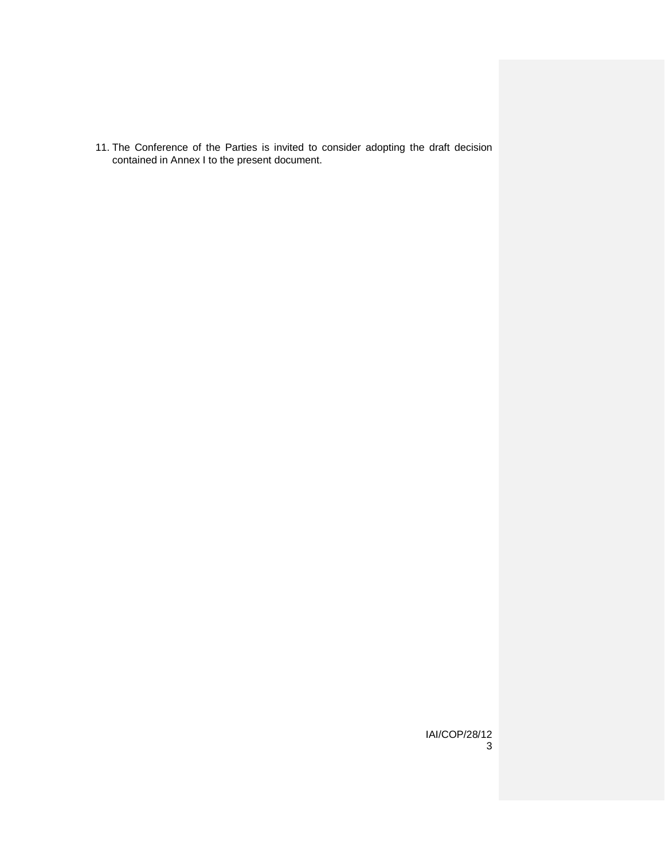11. The Conference of the Parties is invited to consider adopting the draft decision contained in Annex I to the present document.

> IAI/COP/28/12 3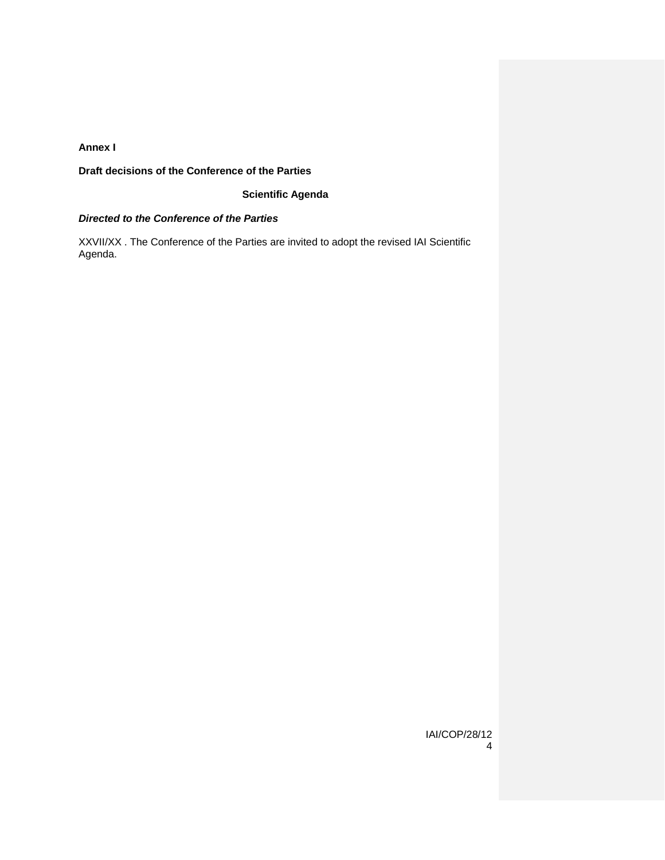### **Annex I**

**Draft decisions of the Conference of the Parties**

## **Scientific Agenda**

#### *Directed to the Conference of the Parties*

XXVII/XX . The Conference of the Parties are invited to adopt the revised IAI Scientific Agenda.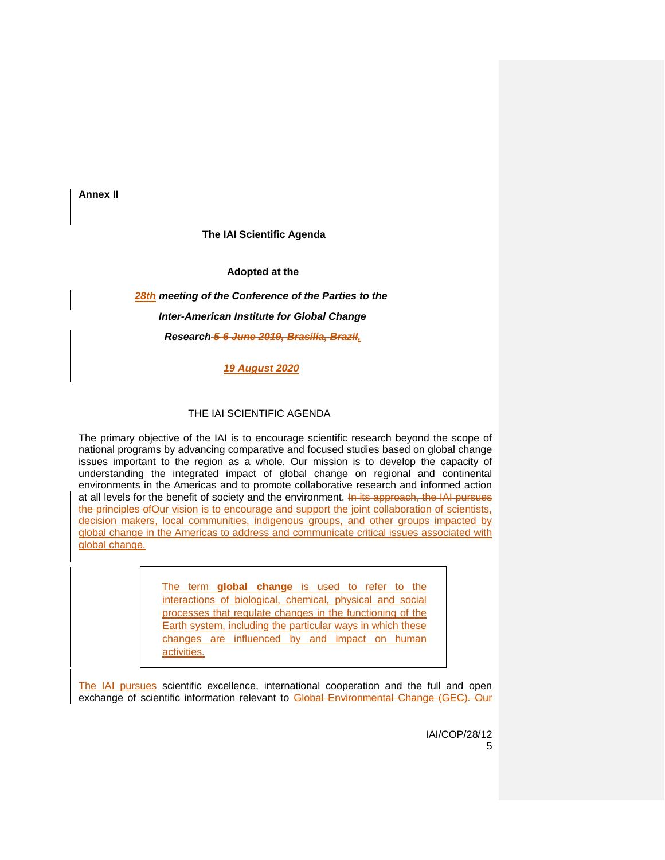**Annex II**

#### **The IAI Scientific Agenda**

**Adopted at the**

# *28th meeting of the Conference of the Parties to the Inter-American Institute for Global Change Research 5-6 June 2019, Brasilia, Brazil,*

*19 August 2020*

#### THE IAI SCIENTIFIC AGENDA

The primary objective of the IAI is to encourage scientific research beyond the scope of national programs by advancing comparative and focused studies based on global change issues important to the region as a whole. Our mission is to develop the capacity of understanding the integrated impact of global change on regional and continental environments in the Americas and to promote collaborative research and informed action at all levels for the benefit of society and the environment. In its approach, the IAI pursues the principles of Our vision is to encourage and support the joint collaboration of scientists, decision makers, local communities, indigenous groups, and other groups impacted by global change in the Americas to address and communicate critical issues associated with global change.

> The term **global change** is used to refer to the interactions of biological, chemical, physical and social processes that regulate changes in the functioning of the Earth system, including the particular ways in which these changes are influenced by and impact on human activities.

The IAI pursues scientific excellence, international cooperation and the full and open exchange of scientific information relevant to Global Environmental Change (GEC). Our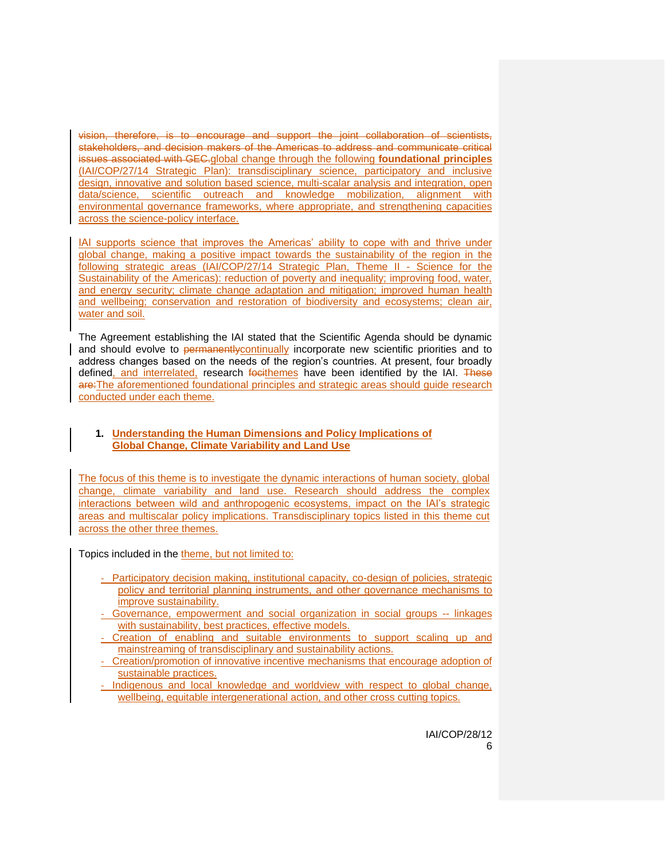vision, therefore, is to encourage and support the joint collaboration of scientists, stakeholders, and decision makers of the Americas to address and communicate critical issues associated with GEC.global change through the following **foundational principles** (IAI/COP/27/14 Strategic Plan): transdisciplinary science, participatory and inclusive design, innovative and solution based science, multi-scalar analysis and integration, open data/science, scientific outreach and knowledge mobilization, alignment with environmental governance frameworks, where appropriate, and strengthening capacities across the science-policy interface.

IAI supports science that improves the Americas' ability to cope with and thrive under global change, making a positive impact towards the sustainability of the region in the following strategic areas (IAI/COP/27/14 Strategic Plan, Theme II - Science for the Sustainability of the Americas): reduction of poverty and inequality; improving food, water, and energy security; climate change adaptation and mitigation; improved human health and wellbeing; conservation and restoration of biodiversity and ecosystems; clean air, water and soil.

The Agreement establishing the IAI stated that the Scientific Agenda should be dynamic and should evolve to permanently continually incorporate new scientific priorities and to address changes based on the needs of the region's countries. At present, four broadly defined, and interrelated, research focithemes have been identified by the IAI. These are:The aforementioned foundational principles and strategic areas should guide research conducted under each theme.

### **1. Understanding the Human Dimensions and Policy Implications of Global Change, Climate Variability and Land Use**

The focus of this theme is to investigate the dynamic interactions of human society, global change, climate variability and land use. Research should address the complex interactions between wild and anthropogenic ecosystems, impact on the IAI's strategic areas and multiscalar policy implications. Transdisciplinary topics listed in this theme cut across the other three themes.

Topics included in the theme, but not limited to:

- Participatory decision making, institutional capacity, co-design of policies, strategic policy and territorial planning instruments, and other governance mechanisms to improve sustainability.
- Governance, empowerment and social organization in social groups -- linkages with sustainability, best practices, effective models.
- Creation of enabling and suitable environments to support scaling up and mainstreaming of transdisciplinary and sustainability actions.
- Creation/promotion of innovative incentive mechanisms that encourage adoption of sustainable practices.
- Indigenous and local knowledge and worldview with respect to global change, wellbeing, equitable intergenerational action, and other cross cutting topics.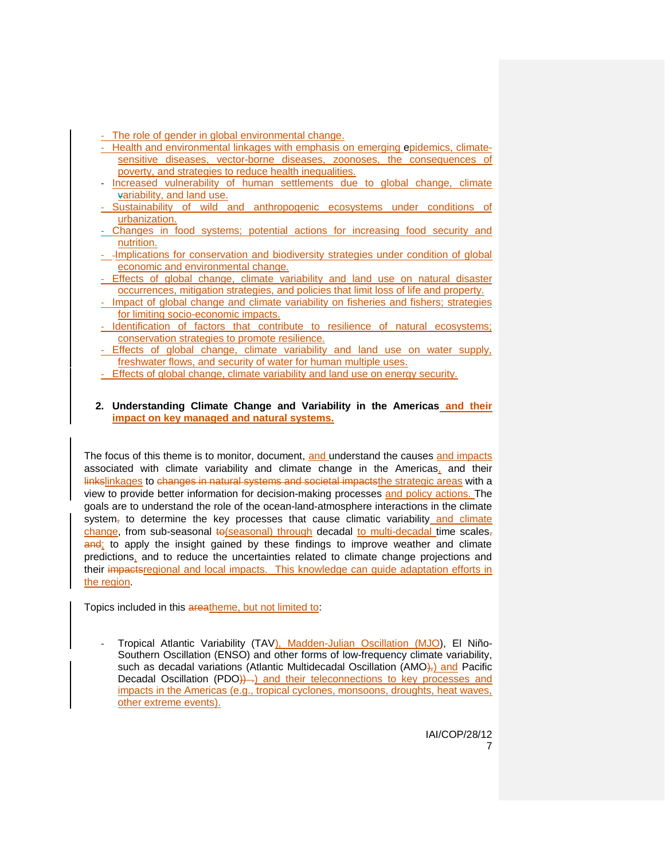- The role of gender in global environmental change.
- Health and environmental linkages with emphasis on emerging epidemics, climatesensitive diseases, vector-borne diseases, zoonoses, the consequences of poverty, and strategies to reduce health inequalities.
- Increased vulnerability of human settlements due to global change, climate variability, and land use.
- Sustainability of wild and anthropogenic ecosystems under conditions of urbanization.
- Changes in food systems; potential actions for increasing food security and nutrition.
- Implications for conservation and biodiversity strategies under condition of global economic and environmental change.
- Effects of global change, climate variability and land use on natural disaster occurrences, mitigation strategies, and policies that limit loss of life and property.
- Impact of global change and climate variability on fisheries and fishers; strategies for limiting socio-economic impacts.
- Identification of factors that contribute to resilience of natural ecosystems; conservation strategies to promote resilience.
- Effects of global change, climate variability and land use on water supply, freshwater flows, and security of water for human multiple uses.
- Effects of global change, climate variability and land use on energy security.
- **2. Understanding Climate Change and Variability in the Americas and their impact on key managed and natural systems.**

The focus of this theme is to monitor, document, and understand the causes and impacts associated with climate variability and climate change in the Americas, and their linkslinkages to changes in natural systems and societal impacts the strategic areas with a view to provide better information for decision-making processes and policy actions. The goals are to understand the role of the ocean-land-atmosphere interactions in the climate system<sub> $<sub>r</sub>$ </sub> to determine the key processes that cause climatic variability and climate</sub> change, from sub-seasonal to(seasonal) through decadal to multi-decadal time scales, and; to apply the insight gained by these findings to improve weather and climate predictions, and to reduce the uncertainties related to climate change projections and their impactsregional and local impacts. This knowledge can guide adaptation efforts in the region.

Topics included in this areatheme, but not limited to:

Tropical Atlantic Variability (TAV), Madden-Julian Oscillation (MJO), El Niño-Southern Oscillation (ENSO) and other forms of low-frequency climate variability, such as decadal variations (Atlantic Multidecadal Oscillation (AMO)<sub>7</sub>) and Pacific Decadal Oscillation (PDO))...) and their teleconnections to key processes and impacts in the Americas (e.g., tropical cyclones, monsoons, droughts, heat waves, other extreme events).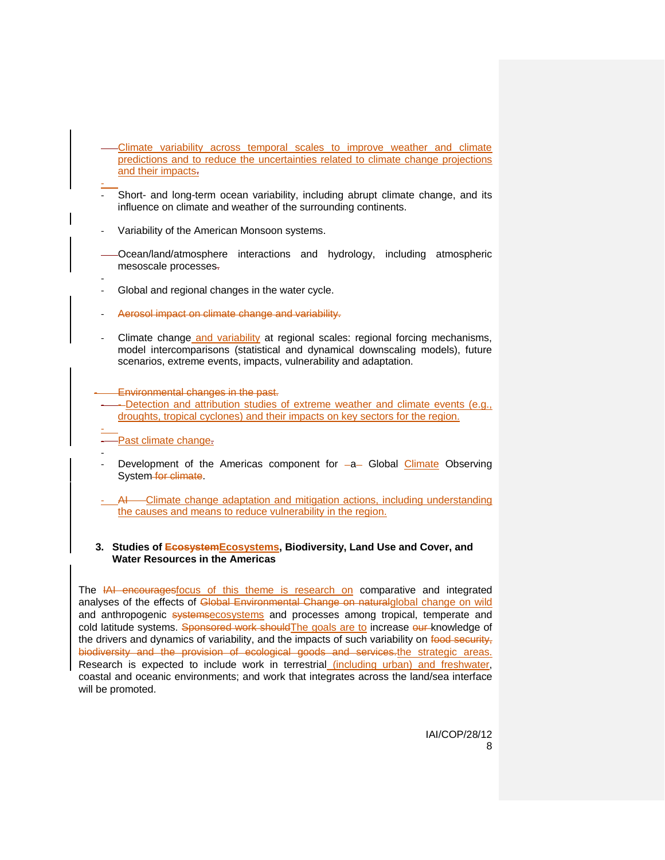- Climate variability across temporal scales to improve weather and climate predictions and to reduce the uncertainties related to climate change projections and their impacts.
- Short- and long-term ocean variability, including abrupt climate change, and its influence on climate and weather of the surrounding continents.
- Variability of the American Monsoon systems.
- Ocean/land/atmosphere interactions and hydrology, including atmospheric mesoscale processes.
- Global and regional changes in the water cycle.
- Aerosol impact on climate change and variability.
- Climate change and variability at regional scales: regional forcing mechanisms, model intercomparisons (statistical and dynamical downscaling models), future scenarios, extreme events, impacts, vulnerability and adaptation.
- Environmental changes in the past.
- -Detection and attribution studies of extreme weather and climate events (e.g., droughts, tropical cyclones) and their impacts on key sectors for the region.
- - Past climate change.

-

- Development of the Americas component for  $-a$  Global Climate Observing System-for-climate.
- AI Climate change adaptation and mitigation actions, including understanding the causes and means to reduce vulnerability in the region.

#### **3. Studies of EcosystemEcosystems, Biodiversity, Land Use and Cover, and Water Resources in the Americas**

The IAI encouragesfocus of this theme is research on comparative and integrated analyses of the effects of Global Environmental Change on naturalglobal change on wild and anthropogenic systemsecosystems and processes among tropical, temperate and cold latitude systems. Sponsored work shouldThe goals are to increase our knowledge of the drivers and dynamics of variability, and the impacts of such variability on food security, biodiversity and the provision of ecological goods and services.the strategic areas. Research is expected to include work in terrestrial (including urban) and freshwater, coastal and oceanic environments; and work that integrates across the land/sea interface will be promoted.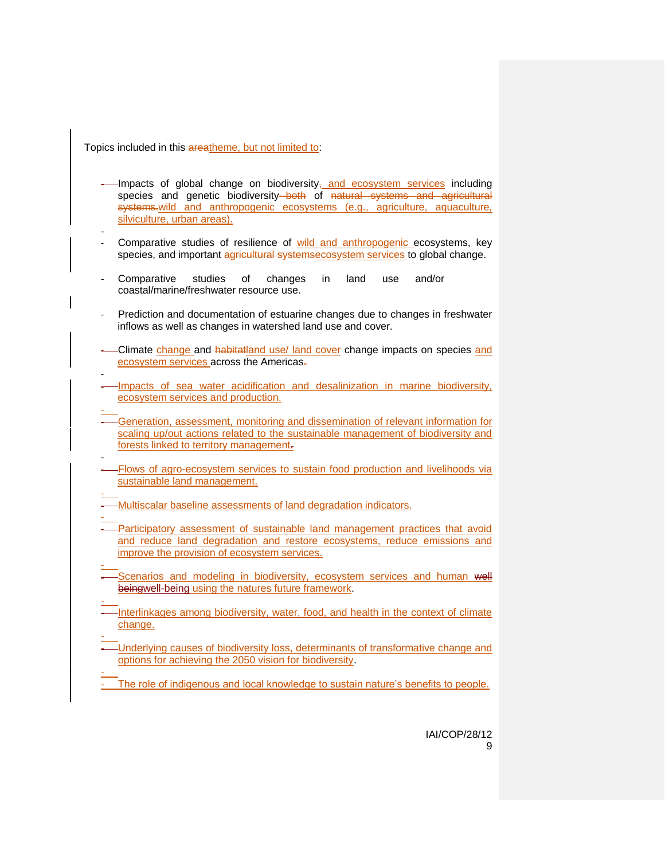Topics included in this areatheme, but not limited to:

- -Impacts of global change on biodiversity<sub><sup>, and ecosystem services</sub> including</sub></sup> species and genetic biodiversity-both of natural systems and agricultural systems.wild and anthropogenic ecosystems (e.g., agriculture, aquaculture, silviculture, urban areas).
- Comparative studies of resilience of wild and anthropogenic ecosystems, key species, and important agricultural systemsecosystem services to global change.
- Comparative studies of changes in land use and/or coastal/marine/freshwater resource use.
- Prediction and documentation of estuarine changes due to changes in freshwater inflows as well as changes in watershed land use and cover.
- Climate change and habitatland use/ land cover change impacts on species and ecosystem services across the Americas.
- - Impacts of sea water acidification and desalinization in marine biodiversity, ecosystem services and production.
- - Generation, assessment, monitoring and dissemination of relevant information for scaling up/out actions related to the sustainable management of biodiversity and forests linked to territory management.
- - Flows of agro-ecosystem services to sustain food production and livelihoods via sustainable land management.
- Multiscalar baseline assessments of land degradation indicators.
- - Participatory assessment of sustainable land management practices that avoid and reduce land degradation and restore ecosystems, reduce emissions and improve the provision of ecosystem services.
- Scenarios and modeling in biodiversity, ecosystem services and human well beingwell-being using the natures future framework.
- - Interlinkages among biodiversity, water, food, and health in the context of climate change.
- - Underlying causes of biodiversity loss, determinants of transformative change and options for achieving the 2050 vision for biodiversity.
- The role of indigenous and local knowledge to sustain nature's benefits to people.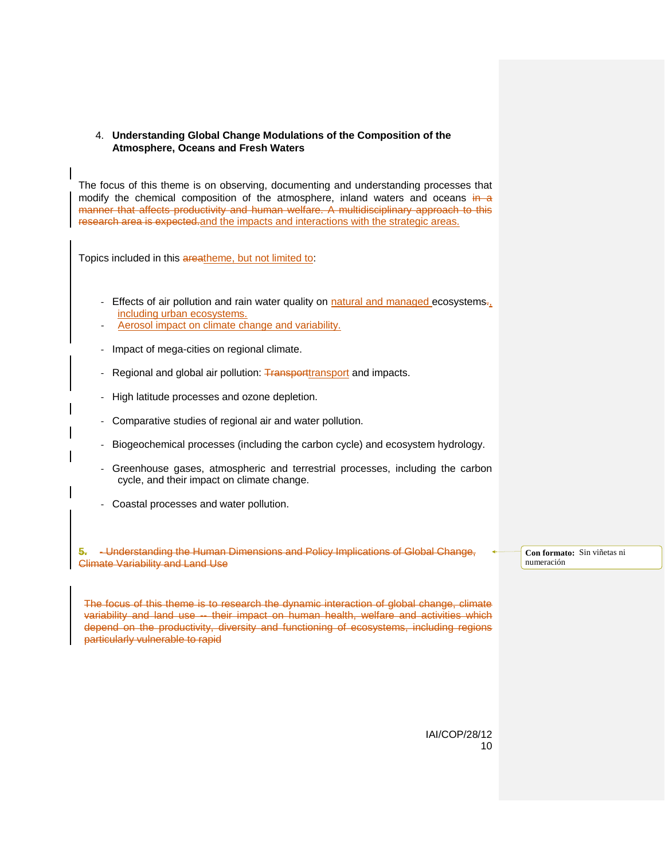#### 4. **Understanding Global Change Modulations of the Composition of the Atmosphere, Oceans and Fresh Waters**

The focus of this theme is on observing, documenting and understanding processes that modify the chemical composition of the atmosphere, inland waters and oceans  $\frac{1}{n}$ manner that affects productivity and human welfare. A multidisciplinary approach to this research area is expected.and the impacts and interactions with the strategic areas.

Topics included in this areatheme, but not limited to:

- Effects of air pollution and rain water quality on natural and managed ecosystems. including urban ecosystems.
- Aerosol impact on climate change and variability.
- Impact of mega-cities on regional climate.
- Regional and global air pollution: Transporttransport and impacts.
- High latitude processes and ozone depletion.
- Comparative studies of regional air and water pollution.
- Biogeochemical processes (including the carbon cycle) and ecosystem hydrology.
- Greenhouse gases, atmospheric and terrestrial processes, including the carbon cycle, and their impact on climate change.
- Coastal processes and water pollution.

**5.** - Understanding the Human Dimensions and Policy Implications of Global Change, Climate Variability and Land Use

**Con formato:** Sin viñetas ni numeración

The focus of this theme is to research the dynamic interaction of global change, climate variability and land use -- their impact on human health, welfare and activities which depend on the productivity, diversity and functioning of ecosystems, including regions particularly vulnerable to rapid

> IAI/COP/28/12 10